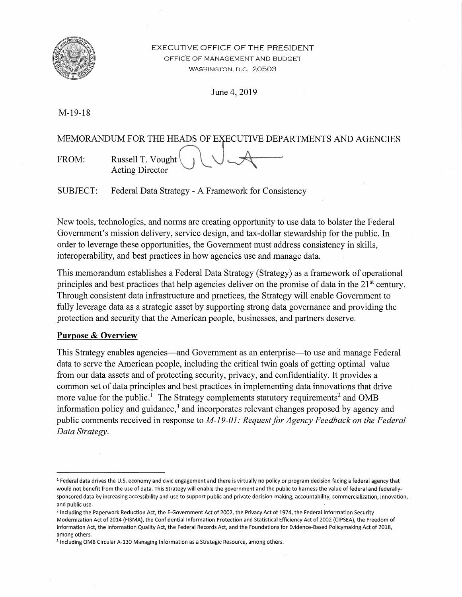

## EXECUTIVE OFFICE OF THE PRESIDENT OFFICE OF MANAGEMENT AND BUDGET WASHINGTON, D.C. 20503

June 4, 2019

M-19-18

MEMORANDUM FOR THE HEADS OF EXECUTIVE DEPARTMENTS AND AGENCIES FROM: Russell T. Vought Acting Director

SUBJECT: Federal Data Strategy - A Framework for Consistency

New tools, technologies, and norms are creating opportunity to use data to bolster the Federal Government's mission delivery, service design, and tax-dollar stewardship for the public. In order to leverage these opportunities, the Government must address consistency in skills, interoperability, and best practices in how agencies use and manage data.

This memorandum establishes a Federal Data Strategy (Strategy) as a framework of operational principles and best practices that help agencies deliver on the promise of data in the  $21<sup>st</sup>$  century. Through consistent data infrastructure and practices, the Strategy will enable Government to fully leverage data as a strategic asset by supporting strong data governance and providing the protection and security that the American people, businesses, and partners deserve.

# **Purpose & Overview**

This Strategy enables agencies—and Government as an enterprise—to use and manage Federal data to serve the American people, including the critical twin goals of getting optimal value from our data assets and of protecting security, privacy, and confidentiality. It provides a common set of data principles and best practices in implementing data innovations that drive more value for the public.<sup>1</sup> The Strategy complements statutory requirements<sup>2</sup> and OMB information policy and guidance, $3$  and incorporates relevant changes proposed by agency and public comments received in response to *M-19-01: Request for Agency Feedback on the Federal Data Strategy.* 

<sup>&</sup>lt;sup>1</sup> Federal data drives the U.S. economy and civic engagement and there is virtually no policy or program decision facing a federal agency that would not benefit from the use of data. This Strategy will enable the government and the public to harness the value of federal and federallysponsored data by increasing accessibility and use to support public and private decision-making, accountability, commercialization, innovation, and public use.

<sup>&</sup>lt;sup>2</sup> Including the Paperwork Reduction Act, the E-Government Act of 2002, the Privacy Act of 1974, the Federal Information Security Modernization Act of 2014 (FISMA), the Confidential Information Protection and Statistical Efficiency Act of 2002 (CIPSEA), the Freedom of Information Act, the Information Quality Act, the Federal Records Act, and the Foundations for Evidence-Based Policymaking Act of 2018, among others.

<sup>&</sup>lt;sup>3</sup> Including OMB Circular A-130 Managing Information as a Strategic Resource, among others.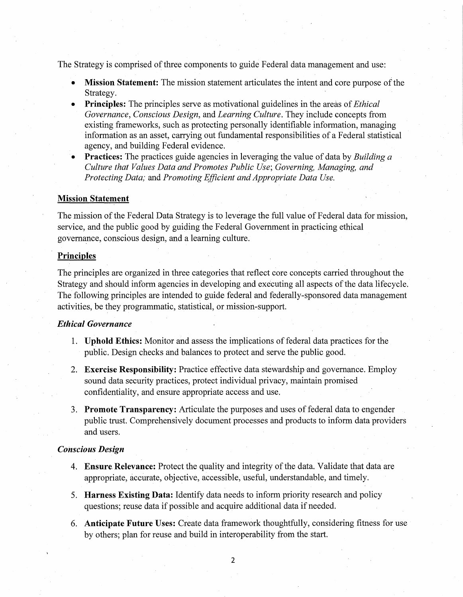The Strategy is comprised of three components to guide Federal data management and use:

- Mission Statement: The mission statement articulates the intent and core purpose of the Strategy.
- **Principles:** The principles serve as motivational guidelines in the areas of *Ethical Governance, Conscious Design,* and *Learning Culture.* They include concepts from existing frameworks, such as protecting personally identifiable information, managing information as an asset, carrying out fundamental responsibilities of a Federal statistical agency, and building Federal evidence.
- **Practices:** The practices guide agencies in leveraging the value of data by *Building a Culture that Values Data and Promotes Public Use; Governing, Managing, and Protecting Data;* and *Promoting Efficient and Appropriate Data Use.*

#### **Mission Statement**

The mission of the Federal Data Strategy is to leverage the full value of Federal data for mission, service, and the public good by guiding the Federal Government in practicing ethical governance, conscious design, and a learning culture.

### **Principles**

The principles are organized in three categories that reflect core concepts carried throughout the Strategy and should inform agencies in developing and executing all aspects of the data lifecycle. The following principles are intended to guide federal and federally-sponsored data management activities, be they programmatic, statistical, or mission-support.

## *Etltical Governance*

- 1. **Uphold .Ethics:** Monitor and assess the implications of federal data practices for the public. Design checks and balances to protect and serve the public good.
- 2. **Exercise Responsibility:** Practice effective data stewardship and governance. Employ sound data security practices, protect individual privacy, maintain promised confidentiality, and ensure appropriate access and use.
- 3. **Promote Transparency:** Articulate the purposes and uses offederal data to engender public trust. Comprehensively document processes and products to inform data providers and users.

### *Conscious Design*

- 4. **Ensure. Relevance:** Protect the quality and integrity ofthe data. Validate that data are appropriate, accurate, objective, accessible, useful, understandable, and timely.
- 5. **Harness Existing Data:** Identify data needs to inform priority research and policy questions; reuse data if possible and acquire additional data if needed.
- 6. **Anticipate Future Uses:** Create data framework thoughtfully, considering fitness for use by others; plan for reuse and build in interoperability from the start.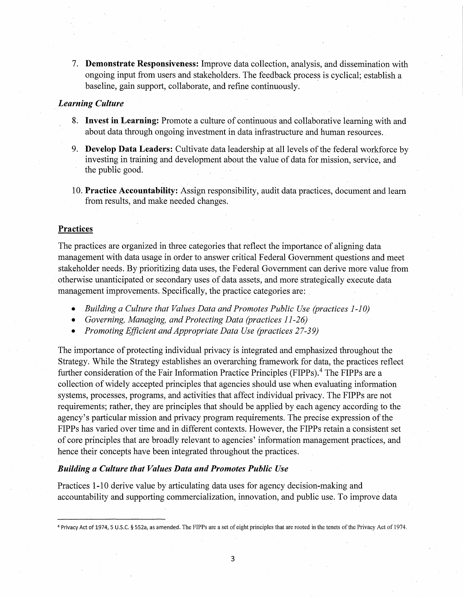7. **Demonstrate Responsiveness:** Improve data collection, analysis, and dissemination with ongoing input from users and stakeholders. The feedback process is cyclical; establish a baseline, gain support, collaborate, and refine continuously .

### . *Learning Culture*

- 8. **Invest in Learning:** Promote a culture of continuous and collaborative learning with and about data through ongoing investment in data infrastructure and human resources ..
- 9. **Develop Data Leaders:** Cultivate data leadership at all levels of the federal workforce by investing in training and development about the value of data for mission, service, and the public good.
- 10. **Practice Accountability:** Assign responsibility, audit data practices, document and learn from results, and make needed changes.

## **Practices**

The practices are organized in three categories that reflect the importance of aligning data management with data usage in order to answer critical Federal Government questions and meet stakeholder needs. By prioritizing data uses, the Federal Government can derive more.value from otherwise unanticipated or secondary uses of data assets, and more strategically execute data management improvements. Specifically, the practice categories are:

- *Building a Culture that Values Data and Promotes Public Use (practices 1-10)*
- *Governing, Managing, and Protecting Data (practices 11-26)*
- *Promoting Efficient and Appropriate Data Use (practices 27-39)*

The importance of protecting individual privacy is integrated and emphasized throughout the Strategy. While the Strategy establishes an overarching framework for data, the practices reflect further consideration of the Fair Information Practice Principles (FIPPs).<sup>4</sup> The FIPPs are a collection of widely accepted principles that agencies should use when evaluating information systems, processes, programs, and activities that affect individual privacy. The FIPPs are not requirements; rather, they are principles that should be applied by each agency according to the agency's particular mission and privacy program requirements. The precise expression of the FIPPs has varied over time and in different contexts. However, the FIPPs retain a consistent set of core principles that are broadly relevant to agencies' information management practices, and hence their concepts have been integrated throughout the practices.

#### *Building a Culture that Values Data and Promotes Public Use*

Practices 1-10 derive value by articulating data uses for agency decision-making and accountability and supporting commercialization, innovation, and public use. To improve data

3

<sup>4</sup> Privacy Act of 1974, 5 U.S.C. § 552a, as amended. The FIPPs are a set of eight principles that are rooted in the tenets ofthe Privacy Act of 1974.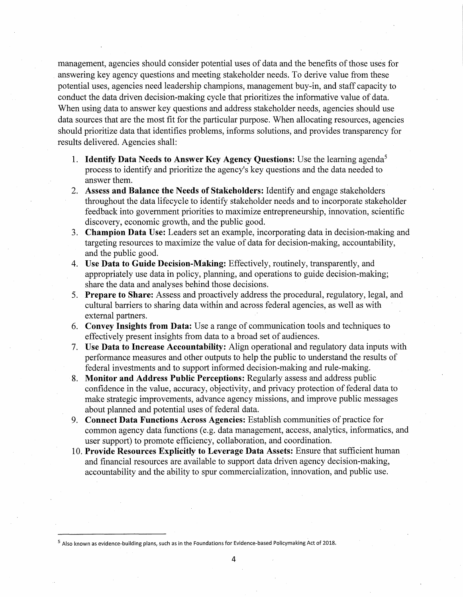management, agencies should consider potential uses of data and the benefits of those uses for answering key agency questions and meeting stakeholder needs. To derive value from these potential uses, agencies need leadership champions, management buy-in, and staff capacity to conduct the data driven decision-making cycle that prioritizes the informative value of data. When using data to answer key questions and address stakeholder needs, agencies should use data sources that are the most fit for the particular purpose. When allocating resources, agencies should prioritize data that identifies problems, informs solutions, and provides transparency for results delivered. Agencies shall:

- 1. **Identify Data Needs to Answer Key Agency Questions:** Use the learning agenda<sup>5</sup> process to identify and prioritize the agency's key questions and the data needed to answer them.
- 2. **Assess and Balance the Needs of Stakeholders:** Identify and engage stakeholders throughout the data lifecycle to identify stakeholder needs and to incorporate stakeholder feedback into government priorities to maximize entrepreneurship, innovation, scientific discovery, economic growth, and the public good.
- 3. **Champion Data Use:** Leaders set an example, incorporating data in decision-making and targeting resources to maximize the value of data for decision-making, accountability, and the public good.
- 4. **Use Data to Guide Decision-Making:** Effectively, routinely, transparently, and appropriately use data in policy, planning, and operations to guide decision-making; share the data and analyses behind those decisions.
- 5. **Prepare to Share:** Assess and proactively address the procedural, regulatory, legal, and cultural barriers to sharing data within and across federal agencies, as well as with external partners.
- 6. **Convey Insights from Data:** Use a range of communication tools and techniques to effectively present insights from data to a broad set of audiences.
- 7. **Use Data to Increase Accountability:** Align operational and regulatory data inputs with performance measures and other outputs to help the public to understand the results of federal investments and to support informed decision-making and rule-making.
- 8. **Monitor and Address Public Perceptions:** Regularly assess and address public confidence in the value, accuracy, objectivity, and privacy protection of federal data to make strategic improvements, advance agency missions, and improve public messages about planned and potential uses of federal data.
- 9. **Connect Data Functions Across Agencies:** Establish communities of practice for common agency data functions (e.g. data management, access, analytics, informatics, and user support) to promote efficiency, collaboration, and coordination.
- 10. **Provide Resources Explicitly to Leverage Data Assets:** Ensure that sufficient human and financial resources are available to support data driven agency decision-making, accountability and the ability to spur commercialization, innovation, and public use.

<sup>&</sup>lt;sup>5</sup> Also known as evidence-building plans, such as in the Foundations for Evidence-based Policymaking Act of 2018.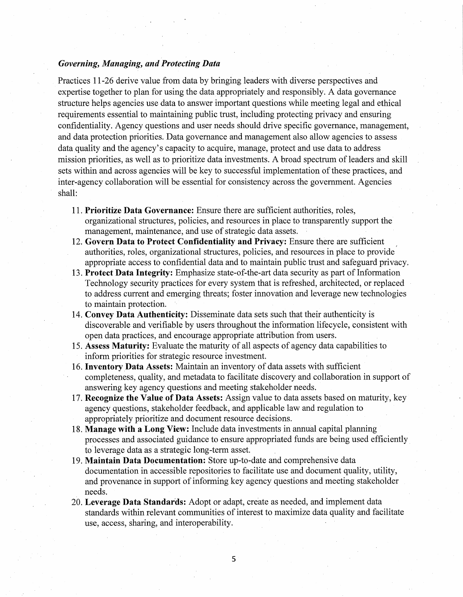### *Governing, Managing, and Protecting Data*

Practices 11-26 derive value from data by bringing leaders with diverse perspectives and expertise together to plan for using the data appropriately and responsibly. A data governance structure helps agencies use data to answer important questions while meeting legal and ethical requirements essential to maintaining public trust, including protecting privacy and ensuring confidentiality. Agency questions and user needs should drive specific governance, management, and data protection priorities. Data governance and management also allow agencies to assess data quality and the agency's capacity to acquire, manage, protect and use data to address mission priorities, as well as to prioritize data investments. A broad spectrum of leaders and skill sets within and across agencies will be key to successful implementation of these practices, and inter-agency collaboration will be essential for consistency across the government. Agencies shall:

- 11. **Prioritize Data Governance:** Ensure there are sufficient authorities, roles, organizational structures, policies, and resources in place to transparently support the management, maintenance; and use of strategic data assets.
- 12. **Govern Data to Protect Confidentiality and Privacy:** Ensure there are sufficient authorities, roles, organizational structures, policies, and resources in place to provide appropriate access to confidential data and to maintain public trust and safeguard privacy.
- 13. **Protect Data Integrity:** Emphasize state-of-the-art data security as part of Information Technology security practices for every system that is refreshed, architected, or replaced to address current and emerging threats; foster innovation and leverage new technologies to maintain protection.
- 14. **Convey Data Authenticity:** Disseminate data sets such that their authenticity is discoverable and verifiable by users throughout the information lifecycle, consistent with open data practices, and encourage appropriate attribution from users.
- 15. **Assess Maturity:** Evaluate the maturity of all aspects of agency data capabilities to inform priorities for strategic resource investment.
- 16. **Inventory Data Assets:** Maintain an inventory of data assets with sufficient completeness, quality, and metadata to facilitate discovery and collaboration in support of answering key agency questions and meeting stakeholder needs.
- 17. **Recognize the Value of Data Assets:** Assign value to data assets based on maturity, key agency questions, stakeholder feedback, and applicable law and regulation to appropriately prioritize and document resource decisions.
- 18. **Manage with a Long View:** Include data investments in annual capital planning processes and associated guidance to ensure appropriated funds are being used efficiently to leverage data as a strategic long-term asset.
- 19. **Maintain Data Documentation:** Store up-to-date and comprehensive data documentation in accessible repositories to facilitate use and document quality, utility, and provenance in support of informing key agency questions and meeting stakeholder needs.
- 20. **Leverage Data Standards:** Adopt or adapt, create as needed, and implement data standards within relevant communities of interest to maximize data quality and facilitate use, access, sharing, and interoperability.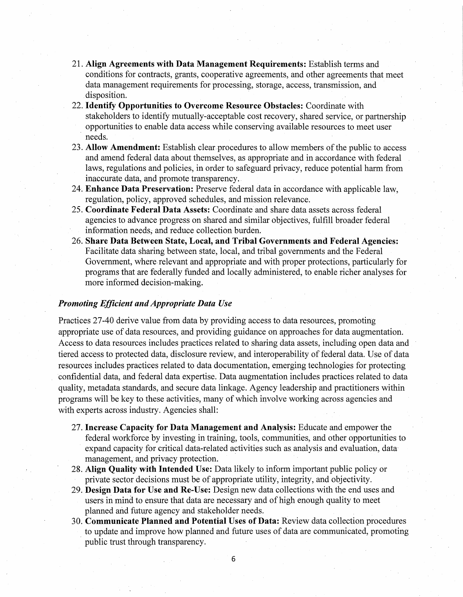- 21. **Align Agreements with Data Management Requirements:** Establish terms and conditions for contracts, grants, cooperative agreements, and other agreements that meet data management requirements for processing, storage, access, transmission, and disposition.
- 22. **Identify Opportunities to Overcome Resource Obstacles:** Coordinate with stakeholders to identify mutually-acceptable cost recovery, shared service, or partnership opportunities to enable data access while conserving available resources to meet user needs.
- 23. **Allow Amendment:** Establish clear.procedures to allow members of the public to access and amend federal data about themselves, as appropriate and in accordance with federal laws, regulations and policies, in order to safeguard privacy, reduce potential harm from inaccurate data, and promote transparency.
- 24. **Enhance Data Preservation:** Preserve federal data in accordance with applicable law, regulation, policy, approved schedules, and mission relevance.
- 25. **Coordinate Federal Data Assets:** Coordinate and share data assets across federal agencies to advance progress on shared and similar objectives, fulfill broader federal information needs; and reduce collection burden.
- 26. **Share Data Between State, Local, and Tribal Governments and Federal Agencies:**  Facilitate data sharing between state, local, and tribal governments and the Federal Government, where.relevant and appropriate and with proper protections, particularly for programs that are federally funded and locally administered, to enable richer analyses for more informed decision-making.

### *Promoting Efficient and Appropriate Data Use*

Practices 27-40 derive value from data by providing access to data resources, promoting appropriate use of data resources, and providing guidance on approaches for data augmentation. Access to data resources includes practices related to sharing data assets, including open data and tiered access to protected data, disclosure review, and interoperability of federal data. Use of data resources includes practices related to data documentation, emerging technologies for protecting confidential data, and federal data expertise. Data augmentation includes practices related to data quality, metadata standards, and secure data linkage. Agency leadership and practitioners within programs will be key to these activities, many of which involve working across agencies and with experts across industry. Agencies shall:

- 27. **Increase Capacity for Data Management and Analysis:** Educate and empower the federal workforce by investing in training, tools, communities, and other opportunities to expand capacity for critical data-related activities such as analysis and evaluation, data management, and privacy protection.
- 28. **Align Quality with Intended Use:** Data likely to inform important public policy or private sector decisions must be of appropriate utility, integrity, and objectivity.
- 29. **Design Data for Use and Re-Use:** Design new data collections with the end uses and users in mind to ensure that data are necessary and of high enough quality to meet planned and future agency and stakeholder needs.
- 30. **Communicate Planned and Potential Uses of Data:** Review data collection procedures to update and improve how planned and future uses of data are communicated, promoting public trust through transparency.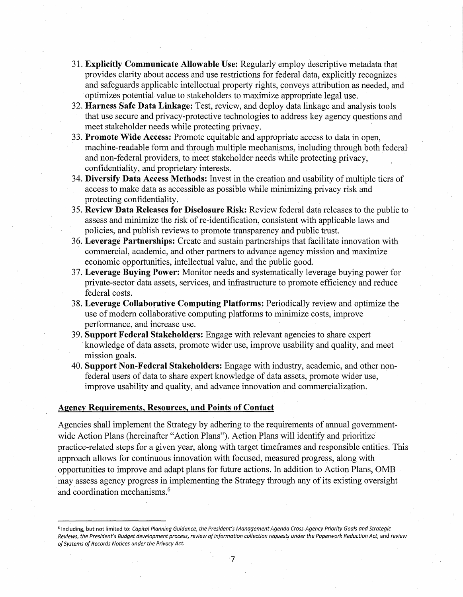- 31. **Explicitly Communicate Allowable Use:** Regularly employ descriptive metadata that provides clarity about access and use restrictions for federal data, explicitly recognizes and safeguards applicable intellectual property rights, conveys attribution as needed, and optimizes potential. value to stakeholders to maximize appropriate legal use.
- 32. **Harness Safe Data Linkage:** Test, review, and deploy data linkage and analysis tools that use secure and privacy-protective technologies to address key agency questions and meet stakeholder needs while protecting privacy.
- 33. **Promote Wide Access:** Promote equitable and appropriate access to data in open, machine-readable form and through multiple mechanisms, including through both federal and non-federal providers, to meet stakeholder needs while protecting privacy, confidentiality, and proprietary interests.
- 34. **Diversify Data Access Methods:** Invest in the creation and usability of multiple tiers of access to make data as accessible as possible while minimizing privacy risk and protecting confidentiality.
- 35. **Review Data Releases for Disclosure Risk:** Review federal data releases to the public to assess and minimize the risk of re-identification, consistent with applicable laws and policies, and publish reviews to promote transparency and public trust.
- 36. **Leverage Partnerships:** Create and sustain partnerships that facilitate innovation with commercial, academic, and other partners to advance agency mission and maximize economic opportunities, intellectual value, and the public good.
- 37. **Leverage Buying Power:** Monitor needs and systematically leverage buying power for private-sector data assets, services, and infrastructure to promote efficiency and reduce federal costs.
- 38. **Leverage Collaborative Computing Platforms:** Periodically review and optimize the use of modern collaborative computing platforms to minimize costs, improve performance, and increase use.
- 39. **Support Federal Stakeholders:** Engage with relevant agencies to share expert · knowledge of data assets, promote wider use, improve usability and quality, and meet mission goals.
- 40. **Support Non-Federal Stakeholders:** Engage with industry, academic, and other nonfederal users of data to share expert knowledge of data assets, promote wider use, improve usability and quality, and advance innovation and commercialization.

#### **Agency Requirements, Resources, and Points of Contact**

Agencies shall implement the Strategy by adhering to the requirements of annual governmentwide Action Plans (hereinafter "Action Plans"). Action Plans will identify and prioritize practice-related steps for a given year, along with target timeframes and responsible entities. This approach allows for continuous innovation with focused, measured progress, along with opportunities to improve and adapt plans for future actions. In addition to Action Plans, 0MB may assess agency progress in implementing the Strategy through any of its existing oversight and coordination mechanisms.<sup>6</sup>

7

<sup>6</sup> Including, but not limited to: *Capital Planning Guidance, the President's Management Agenda Cross-Agency Priority Goals and Strategic*  .*Reviews, the President's Budget development process, review ofinformation collection requests under the Paperwork Reduction Act,* and *review ofSystems of Records Notices under the Privacy Act.*